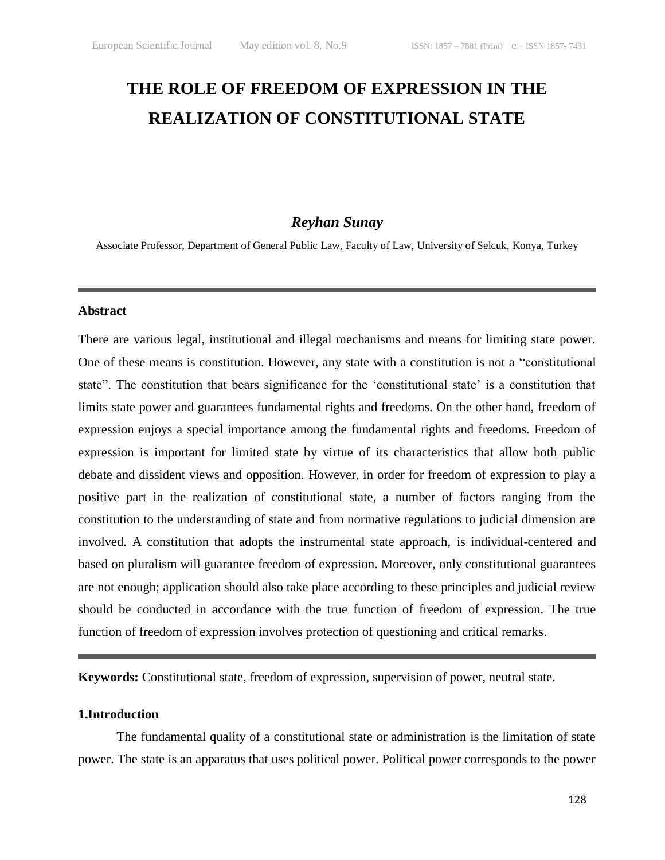# **THE ROLE OF FREEDOM OF EXPRESSION IN THE REALIZATION OF CONSTITUTIONAL STATE**

# *Reyhan Sunay*

Associate Professor, Department of General Public Law, Faculty of Law, University of Selcuk, Konya, Turkey

# **Abstract**

There are various legal, institutional and illegal mechanisms and means for limiting state power. One of these means is constitution. However, any state with a constitution is not a "constitutional state". The constitution that bears significance for the 'constitutional state' is a constitution that limits state power and guarantees fundamental rights and freedoms. On the other hand, freedom of expression enjoys a special importance among the fundamental rights and freedoms. Freedom of expression is important for limited state by virtue of its characteristics that allow both public debate and dissident views and opposition. However, in order for freedom of expression to play a positive part in the realization of constitutional state, a number of factors ranging from the constitution to the understanding of state and from normative regulations to judicial dimension are involved. A constitution that adopts the instrumental state approach, is individual-centered and based on pluralism will guarantee freedom of expression. Moreover, only constitutional guarantees are not enough; application should also take place according to these principles and judicial review should be conducted in accordance with the true function of freedom of expression. The true function of freedom of expression involves protection of questioning and critical remarks.

**Keywords:** Constitutional state, freedom of expression, supervision of power, neutral state.

## **1.Introduction**

The fundamental quality of a constitutional state or administration is the limitation of state power. The state is an apparatus that uses political power. Political power corresponds to the power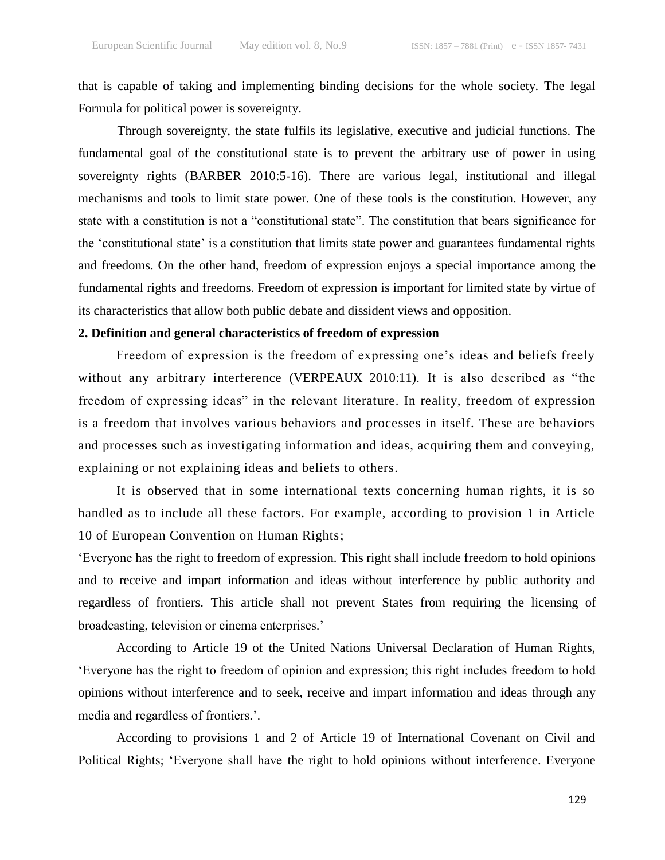that is capable of taking and implementing binding decisions for the whole society. The legal Formula for political power is sovereignty.

Through sovereignty, the state fulfils its legislative, executive and judicial functions. The fundamental goal of the constitutional state is to prevent the arbitrary use of power in using sovereignty rights (BARBER 2010:5-16). There are various legal, institutional and illegal mechanisms and tools to limit state power. One of these tools is the constitution. However, any state with a constitution is not a "constitutional state". The constitution that bears significance for the "constitutional state" is a constitution that limits state power and guarantees fundamental rights and freedoms. On the other hand, freedom of expression enjoys a special importance among the fundamental rights and freedoms. Freedom of expression is important for limited state by virtue of its characteristics that allow both public debate and dissident views and opposition.

### **2. Definition and general characteristics of freedom of expression**

Freedom of expression is the freedom of expressing one's ideas and beliefs freely without any arbitrary interference (VERPEAUX 2010:11). It is also described as "the freedom of expressing ideas" in the relevant literature. In reality, freedom of expression is a freedom that involves various behaviors and processes in itself. These are behaviors and processes such as investigating information and ideas, acquiring them and conveying, explaining or not explaining ideas and beliefs to others.

It is observed that in some international texts concerning human rights, it is so handled as to include all these factors. For example, according to provision 1 in Article 10 of European Convention on Human Rights;

"Everyone has the right to freedom of expression. This right shall include freedom to hold opinions and to receive and impart information and ideas without interference by public authority and regardless of frontiers. This article shall not prevent States from requiring the licensing of broadcasting, television or cinema enterprises."

According to Article 19 of the United Nations Universal Declaration of Human Rights, "Everyone has the right to freedom of opinion and expression; this right includes freedom to hold opinions without interference and to seek, receive and impart information and ideas through any media and regardless of frontiers.".

According to provisions 1 and 2 of Article 19 of International Covenant on Civil and Political Rights; "Everyone shall have the right to hold opinions without interference. Everyone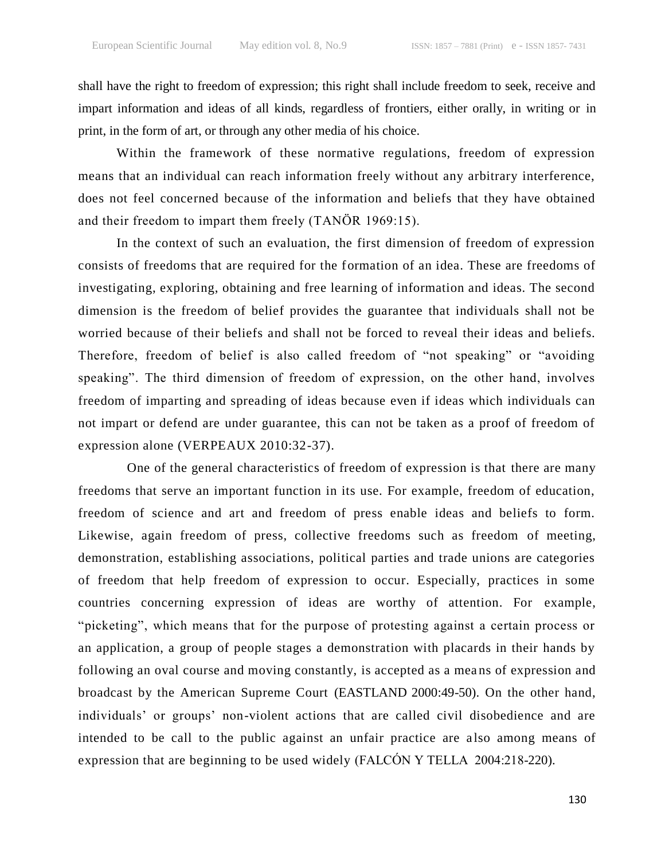shall have the right to freedom of expression; this right shall include freedom to seek, receive and impart information and ideas of all kinds, regardless of frontiers, either orally, in writing or in print, in the form of art, or through any other media of his choice.

Within the framework of these normative regulations, freedom of expression means that an individual can reach information freely without any arbitrary interference, does not feel concerned because of the information and beliefs that they have obtained and their freedom to impart them freely (TANÖR 1969:15).

In the context of such an evaluation, the first dimension of freedom of expression consists of freedoms that are required for the formation of an idea. These are freedoms of investigating, exploring, obtaining and free learning of information and ideas. The second dimension is the freedom of belief provides the guarantee that individuals shall not be worried because of their beliefs and shall not be forced to reveal their ideas and beliefs. Therefore, freedom of belief is also called freedom of "not speaking" or "avoiding speaking". The third dimension of freedom of expression, on the other hand, involves freedom of imparting and spreading of ideas because even if ideas which individuals can not impart or defend are under guarantee, this can not be taken as a proof of freedom of expression alone (VERPEAUX 2010:32-37).

One of the general characteristics of freedom of expression is that there are many freedoms that serve an important function in its use. For example, freedom of education, freedom of science and art and freedom of press enable ideas and beliefs to form. Likewise, again freedom of press, collective freedoms such as freedom of meeting, demonstration, establishing associations, political parties and trade unions are categories of freedom that help freedom of expression to occur. Especially, practices in some countries concerning expression of ideas are worthy of attention. For example, "picketing", which means that for the purpose of protesting against a certain process or an application, a group of people stages a demonstration with placards in their hands by following an oval course and moving constantly, is accepted as a means of expression and broadcast by the American Supreme Court (EASTLAND 2000:49-50). On the other hand, individuals" or groups" non-violent actions that are called civil disobedience and are intended to be call to the public against an unfair practice are a lso among means of expression that are beginning to be used widely (FALCÓN Y TELLA 2004:218-220).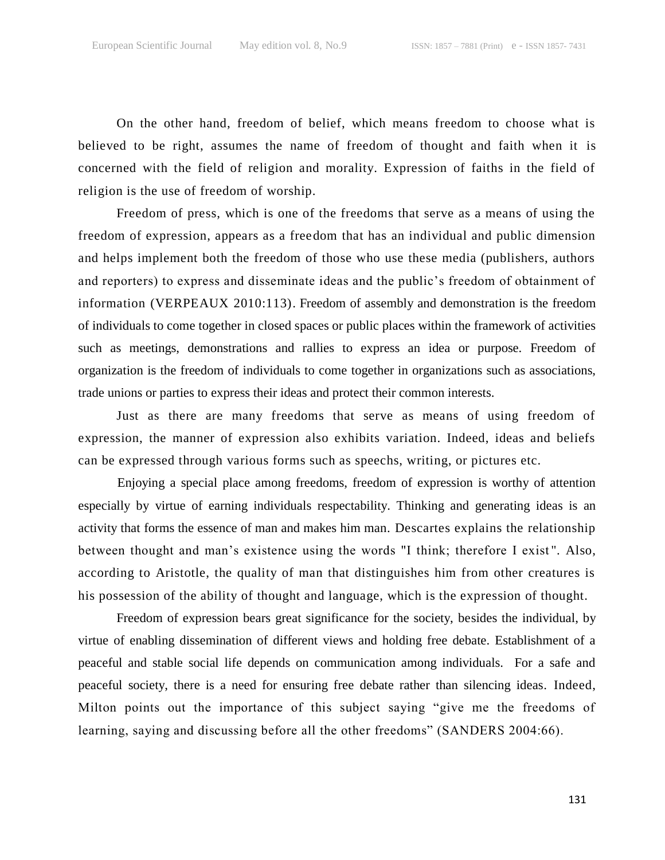On the other hand, freedom of belief, which means freedom to choose what is believed to be right, assumes the name of freedom of thought and faith when it is concerned with the field of religion and morality. Expression of faiths in the field of religion is the use of freedom of worship.

Freedom of press, which is one of the freedoms that serve as a means of using the freedom of expression, appears as a freedom that has an individual and public dimension and helps implement both the freedom of those who use these media (publishers, authors and reporters) to express and disseminate ideas and the public"s freedom of obtainment of information (VERPEAUX 2010:113). Freedom of assembly and demonstration is the freedom of individuals to come together in closed spaces or public places within the framework of activities such as meetings, demonstrations and rallies to express an idea or purpose. Freedom of organization is the freedom of individuals to come together in organizations such as associations, trade unions or parties to express their ideas and protect their common interests.

Just as there are many freedoms that serve as means of using freedom of expression, the manner of expression also exhibits variation. Indeed, ideas and beliefs can be expressed through various forms such as speechs, writing, or pictures etc.

Enjoying a special place among freedoms, freedom of expression is worthy of attention especially by virtue of earning individuals respectability. Thinking and generating ideas is an activity that forms the essence of man and makes him man. Descartes explains the relationship between thought and man"s existence using the words "I think; therefore I exist ". Also, according to Aristotle, the quality of man that distinguishes him from other creatures is his possession of the ability of thought and language, which is the expression of thought.

Freedom of expression bears great significance for the society, besides the individual, by virtue of enabling dissemination of different views and holding free debate. Establishment of a peaceful and stable social life depends on communication among individuals. For a safe and peaceful society, there is a need for ensuring free debate rather than silencing ideas. Indeed, Milton points out the importance of this subject saying "give me the freedoms of learning, saying and discussing before all the other freedoms" (SANDERS 2004:66).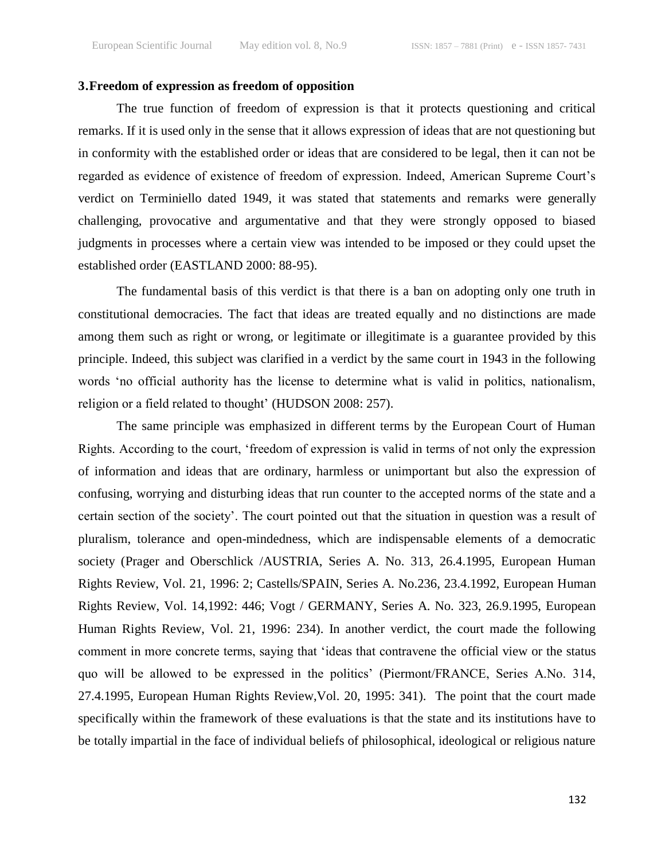# **3.Freedom of expression as freedom of opposition**

The true function of freedom of expression is that it protects questioning and critical remarks. If it is used only in the sense that it allows expression of ideas that are not questioning but in conformity with the established order or ideas that are considered to be legal, then it can not be regarded as evidence of existence of freedom of expression. Indeed, American Supreme Court"s verdict on Terminiello dated 1949, it was stated that statements and remarks were generally challenging, provocative and argumentative and that they were strongly opposed to biased judgments in processes where a certain view was intended to be imposed or they could upset the established order (EASTLAND 2000: 88-95).

The fundamental basis of this verdict is that there is a ban on adopting only one truth in constitutional democracies. The fact that ideas are treated equally and no distinctions are made among them such as right or wrong, or legitimate or illegitimate is a guarantee provided by this principle. Indeed, this subject was clarified in a verdict by the same court in 1943 in the following words "no official authority has the license to determine what is valid in politics, nationalism, religion or a field related to thought' (HUDSON 2008: 257).

The same principle was emphasized in different terms by the European Court of Human Rights. According to the court, "freedom of expression is valid in terms of not only the expression of information and ideas that are ordinary, harmless or unimportant but also the expression of confusing, worrying and disturbing ideas that run counter to the accepted norms of the state and a certain section of the society". The court pointed out that the situation in question was a result of pluralism, tolerance and open-mindedness, which are indispensable elements of a democratic society (Prager and Oberschlick /AUSTRIA, Series A. No. 313, 26.4.1995, European Human Rights Review, Vol. 21, 1996: 2; Castells/SPAIN, Series A. No.236, 23.4.1992, European Human Rights Review, Vol. 14,1992: 446; Vogt / GERMANY, Series A. No. 323, 26.9.1995, European Human Rights Review, Vol. 21, 1996: 234). In another verdict, the court made the following comment in more concrete terms, saying that "ideas that contravene the official view or the status quo will be allowed to be expressed in the politics" (Piermont/FRANCE, Series A.No. 314, 27.4.1995, European Human Rights Review,Vol. 20, 1995: 341). The point that the court made specifically within the framework of these evaluations is that the state and its institutions have to be totally impartial in the face of individual beliefs of philosophical, ideological or religious nature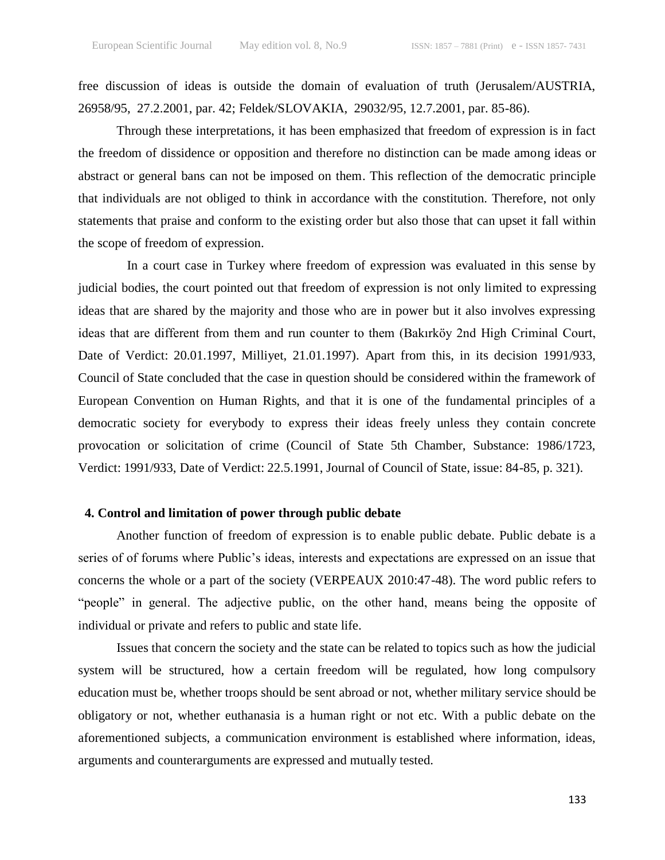free discussion of ideas is outside the domain of evaluation of truth (Jerusalem/AUSTRIA, 26958/95, 27.2.2001, par. 42; Feldek/SLOVAKIA, 29032/95, 12.7.2001, par. 85-86).

Through these interpretations, it has been emphasized that freedom of expression is in fact the freedom of dissidence or opposition and therefore no distinction can be made among ideas or abstract or general bans can not be imposed on them. This reflection of the democratic principle that individuals are not obliged to think in accordance with the constitution. Therefore, not only statements that praise and conform to the existing order but also those that can upset it fall within the scope of freedom of expression.

In a court case in Turkey where freedom of expression was evaluated in this sense by judicial bodies, the court pointed out that freedom of expression is not only limited to expressing ideas that are shared by the majority and those who are in power but it also involves expressing ideas that are different from them and run counter to them (Bakırköy 2nd High Criminal Court, Date of Verdict: 20.01.1997, Milliyet, 21.01.1997). Apart from this, in its decision 1991/933, Council of State concluded that the case in question should be considered within the framework of European Convention on Human Rights, and that it is one of the fundamental principles of a democratic society for everybody to express their ideas freely unless they contain concrete provocation or solicitation of crime (Council of State 5th Chamber, Substance: 1986/1723, Verdict: 1991/933, Date of Verdict: 22.5.1991, Journal of Council of State, issue: 84-85, p. 321).

# **4. Control and limitation of power through public debate**

Another function of freedom of expression is to enable public debate. Public debate is a series of of forums where Public's ideas, interests and expectations are expressed on an issue that concerns the whole or a part of the society (VERPEAUX 2010:47-48). The word public refers to "people" in general. The adjective public, on the other hand, means being the opposite of individual or private and refers to public and state life.

Issues that concern the society and the state can be related to topics such as how the judicial system will be structured, how a certain freedom will be regulated, how long compulsory education must be, whether troops should be sent abroad or not, whether military service should be obligatory or not, whether euthanasia is a human right or not etc. With a public debate on the aforementioned subjects, a communication environment is established where information, ideas, arguments and counterarguments are expressed and mutually tested.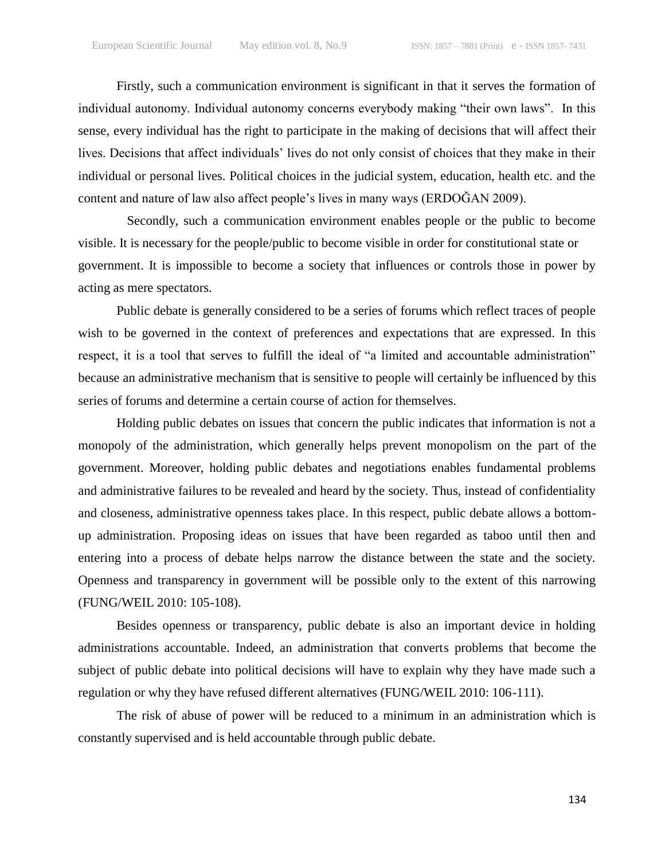Firstly, such a communication environment is significant in that it serves the formation of individual autonomy. Individual autonomy concerns everybody making "their own laws". In this sense, every individual has the right to participate in the making of decisions that will affect their lives. Decisions that affect individuals" lives do not only consist of choices that they make in their individual or personal lives. Political choices in the judicial system, education, health etc. and the content and nature of law also affect people"s lives in many ways (ERDOĞAN 2009).

Secondly, such a communication environment enables people or the public to become visible. It is necessary for the people/public to become visible in order for constitutional state or government. It is impossible to become a society that influences or controls those in power by acting as mere spectators.

Public debate is generally considered to be a series of forums which reflect traces of people wish to be governed in the context of preferences and expectations that are expressed. In this respect, it is a tool that serves to fulfill the ideal of "a limited and accountable administration" because an administrative mechanism that is sensitive to people will certainly be influenced by this series of forums and determine a certain course of action for themselves.

Holding public debates on issues that concern the public indicates that information is not a monopoly of the administration, which generally helps prevent monopolism on the part of the government. Moreover, holding public debates and negotiations enables fundamental problems and administrative failures to be revealed and heard by the society. Thus, instead of confidentiality and closeness, administrative openness takes place. In this respect, public debate allows a bottomup administration. Proposing ideas on issues that have been regarded as taboo until then and entering into a process of debate helps narrow the distance between the state and the society. Openness and transparency in government will be possible only to the extent of this narrowing (FUNG/WEIL 2010: 105-108).

Besides openness or transparency, public debate is also an important device in holding administrations accountable. Indeed, an administration that converts problems that become the subject of public debate into political decisions will have to explain why they have made such a regulation or why they have refused different alternatives (FUNG/WEIL 2010: 106-111).

The risk of abuse of power will be reduced to a minimum in an administration which is constantly supervised and is held accountable through public debate.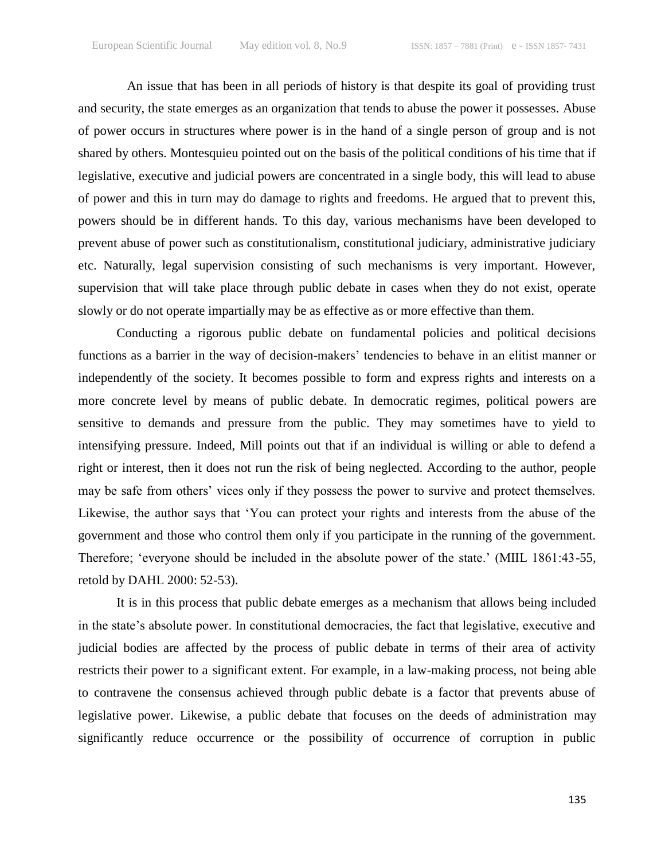An issue that has been in all periods of history is that despite its goal of providing trust and security, the state emerges as an organization that tends to abuse the power it possesses. Abuse of power occurs in structures where power is in the hand of a single person of group and is not shared by others. Montesquieu pointed out on the basis of the political conditions of his time that if legislative, executive and judicial powers are concentrated in a single body, this will lead to abuse of power and this in turn may do damage to rights and freedoms. He argued that to prevent this, powers should be in different hands. To this day, various mechanisms have been developed to prevent abuse of power such as constitutionalism, constitutional judiciary, administrative judiciary etc. Naturally, legal supervision consisting of such mechanisms is very important. However, supervision that will take place through public debate in cases when they do not exist, operate slowly or do not operate impartially may be as effective as or more effective than them.

Conducting a rigorous public debate on fundamental policies and political decisions functions as a barrier in the way of decision-makers' tendencies to behave in an elitist manner or independently of the society. It becomes possible to form and express rights and interests on a more concrete level by means of public debate. In democratic regimes, political powers are sensitive to demands and pressure from the public. They may sometimes have to yield to intensifying pressure. Indeed, Mill points out that if an individual is willing or able to defend a right or interest, then it does not run the risk of being neglected. According to the author, people may be safe from others' vices only if they possess the power to survive and protect themselves. Likewise, the author says that "You can protect your rights and interests from the abuse of the government and those who control them only if you participate in the running of the government. Therefore; 'everyone should be included in the absolute power of the state.' (MIIL 1861:43-55, retold by DAHL 2000: 52-53).

It is in this process that public debate emerges as a mechanism that allows being included in the state"s absolute power. In constitutional democracies, the fact that legislative, executive and judicial bodies are affected by the process of public debate in terms of their area of activity restricts their power to a significant extent. For example, in a law-making process, not being able to contravene the consensus achieved through public debate is a factor that prevents abuse of legislative power. Likewise, a public debate that focuses on the deeds of administration may significantly reduce occurrence or the possibility of occurrence of corruption in public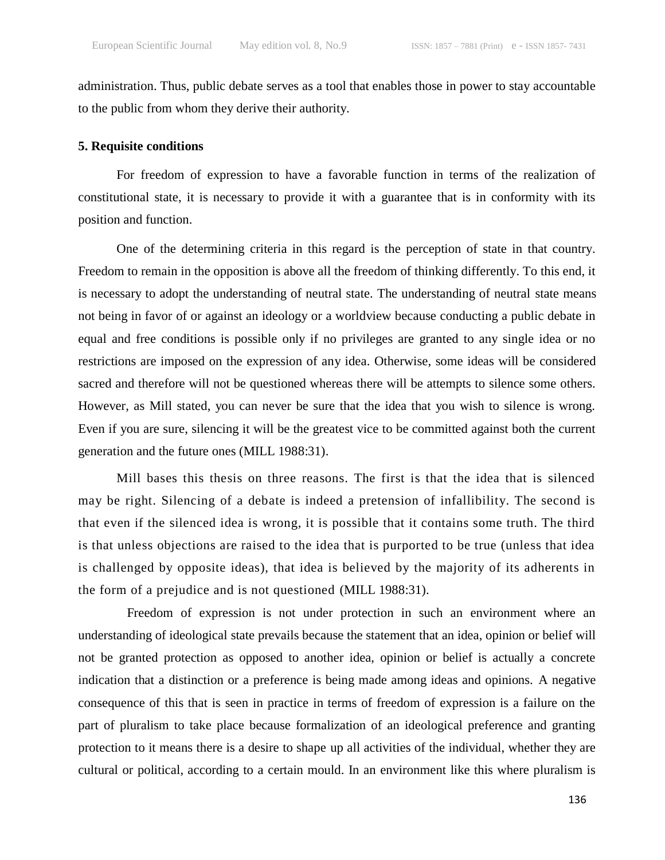administration. Thus, public debate serves as a tool that enables those in power to stay accountable to the public from whom they derive their authority.

#### **5. Requisite conditions**

For freedom of expression to have a favorable function in terms of the realization of constitutional state, it is necessary to provide it with a guarantee that is in conformity with its position and function.

One of the determining criteria in this regard is the perception of state in that country. Freedom to remain in the opposition is above all the freedom of thinking differently. To this end, it is necessary to adopt the understanding of neutral state. The understanding of neutral state means not being in favor of or against an ideology or a worldview because conducting a public debate in equal and free conditions is possible only if no privileges are granted to any single idea or no restrictions are imposed on the expression of any idea. Otherwise, some ideas will be considered sacred and therefore will not be questioned whereas there will be attempts to silence some others. However, as Mill stated, you can never be sure that the idea that you wish to silence is wrong. Even if you are sure, silencing it will be the greatest vice to be committed against both the current generation and the future ones (MILL 1988:31).

Mill bases this thesis on three reasons. The first is that the idea that is silenced may be right. Silencing of a debate is indeed a pretension of infallibility. The second is that even if the silenced idea is wrong, it is possible that it contains some truth. The third is that unless objections are raised to the idea that is purported to be true (unless that idea is challenged by opposite ideas), that idea is believed by the majority of its adherents in the form of a prejudice and is not questioned (MILL 1988:31).

Freedom of expression is not under protection in such an environment where an understanding of ideological state prevails because the statement that an idea, opinion or belief will not be granted protection as opposed to another idea, opinion or belief is actually a concrete indication that a distinction or a preference is being made among ideas and opinions. A negative consequence of this that is seen in practice in terms of freedom of expression is a failure on the part of pluralism to take place because formalization of an ideological preference and granting protection to it means there is a desire to shape up all activities of the individual, whether they are cultural or political, according to a certain mould. In an environment like this where pluralism is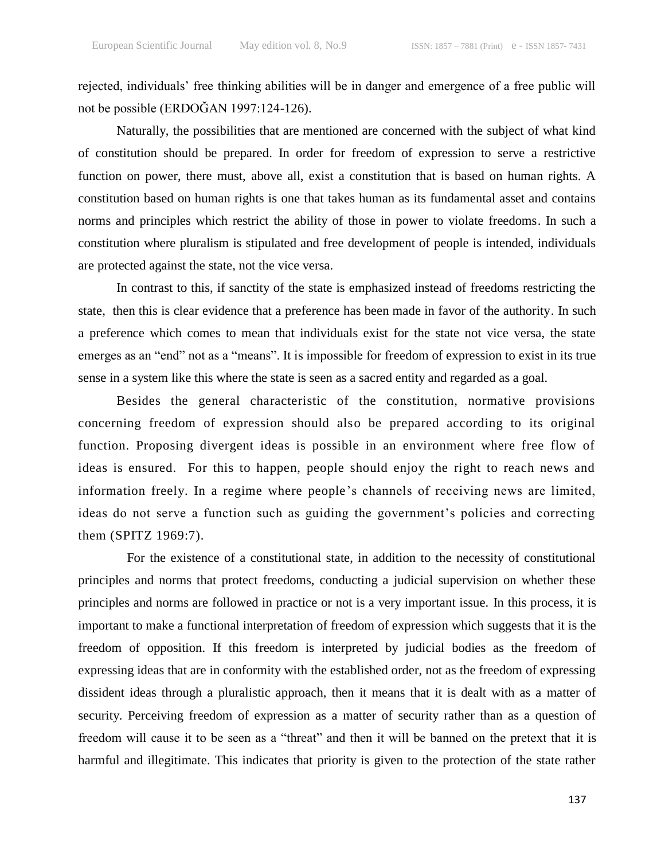rejected, individuals" free thinking abilities will be in danger and emergence of a free public will not be possible (ERDOĞAN 1997:124-126).

Naturally, the possibilities that are mentioned are concerned with the subject of what kind of constitution should be prepared. In order for freedom of expression to serve a restrictive function on power, there must, above all, exist a constitution that is based on human rights. A constitution based on human rights is one that takes human as its fundamental asset and contains norms and principles which restrict the ability of those in power to violate freedoms. In such a constitution where pluralism is stipulated and free development of people is intended, individuals are protected against the state, not the vice versa.

In contrast to this, if sanctity of the state is emphasized instead of freedoms restricting the state, then this is clear evidence that a preference has been made in favor of the authority. In such a preference which comes to mean that individuals exist for the state not vice versa, the state emerges as an "end" not as a "means". It is impossible for freedom of expression to exist in its true sense in a system like this where the state is seen as a sacred entity and regarded as a goal.

Besides the general characteristic of the constitution, normative provisions concerning freedom of expression should also be prepared according to its original function. Proposing divergent ideas is possible in an environment where free flow of ideas is ensured. For this to happen, people should enjoy the right to reach news and information freely. In a regime where people's channels of receiving news are limited, ideas do not serve a function such as guiding the government's policies and correcting them (SPITZ 1969:7).

For the existence of a constitutional state, in addition to the necessity of constitutional principles and norms that protect freedoms, conducting a judicial supervision on whether these principles and norms are followed in practice or not is a very important issue. In this process, it is important to make a functional interpretation of freedom of expression which suggests that it is the freedom of opposition. If this freedom is interpreted by judicial bodies as the freedom of expressing ideas that are in conformity with the established order, not as the freedom of expressing dissident ideas through a pluralistic approach, then it means that it is dealt with as a matter of security. Perceiving freedom of expression as a matter of security rather than as a question of freedom will cause it to be seen as a "threat" and then it will be banned on the pretext that it is harmful and illegitimate. This indicates that priority is given to the protection of the state rather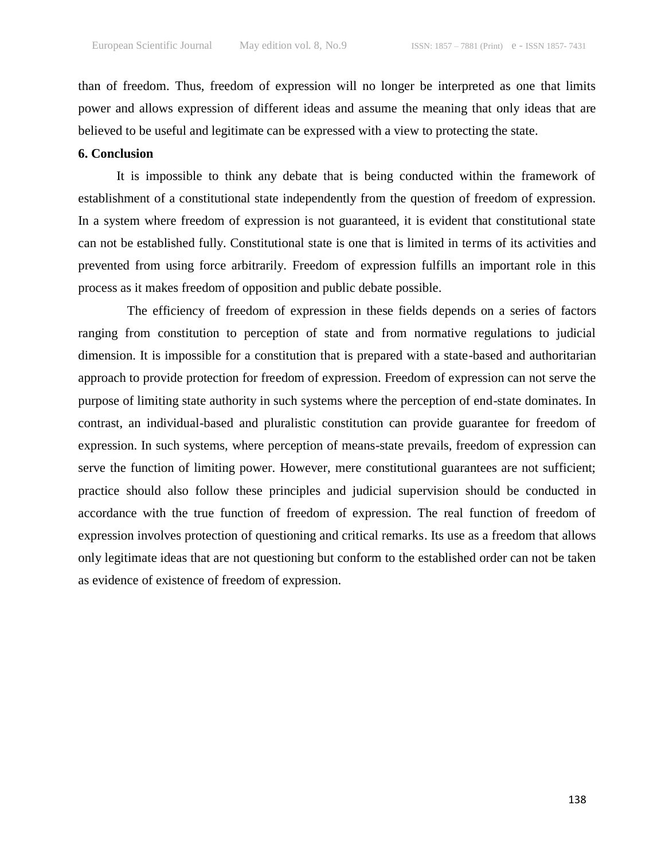than of freedom. Thus, freedom of expression will no longer be interpreted as one that limits power and allows expression of different ideas and assume the meaning that only ideas that are believed to be useful and legitimate can be expressed with a view to protecting the state.

#### **6. Conclusion**

It is impossible to think any debate that is being conducted within the framework of establishment of a constitutional state independently from the question of freedom of expression. In a system where freedom of expression is not guaranteed, it is evident that constitutional state can not be established fully. Constitutional state is one that is limited in terms of its activities and prevented from using force arbitrarily. Freedom of expression fulfills an important role in this process as it makes freedom of opposition and public debate possible.

The efficiency of freedom of expression in these fields depends on a series of factors ranging from constitution to perception of state and from normative regulations to judicial dimension. It is impossible for a constitution that is prepared with a state-based and authoritarian approach to provide protection for freedom of expression. Freedom of expression can not serve the purpose of limiting state authority in such systems where the perception of end-state dominates. In contrast, an individual-based and pluralistic constitution can provide guarantee for freedom of expression. In such systems, where perception of means-state prevails, freedom of expression can serve the function of limiting power. However, mere constitutional guarantees are not sufficient; practice should also follow these principles and judicial supervision should be conducted in accordance with the true function of freedom of expression. The real function of freedom of expression involves protection of questioning and critical remarks. Its use as a freedom that allows only legitimate ideas that are not questioning but conform to the established order can not be taken as evidence of existence of freedom of expression.